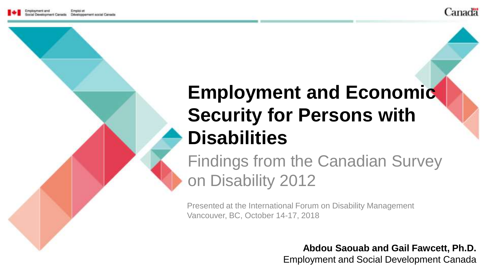

#### **Employment and Economic Security for Persons with Disabilities**

Findings from the Canadian Survey on Disability 2012

Presented at the International Forum on Disability Management Vancouver, BC, October 14-17, 2018

> **Abdou Saouab and Gail Fawcett, Ph.D.** Employment and Social Development Canada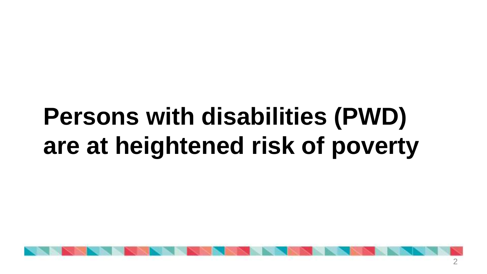### **Persons with disabilities (PWD) are at heightened risk of poverty**

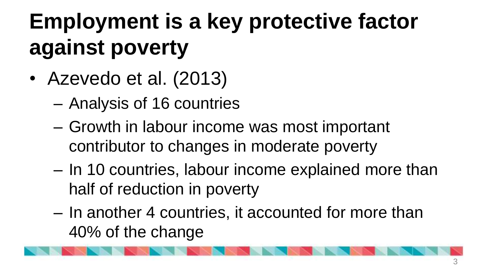### **Employment is a key protective factor against poverty**

- Azevedo et al. (2013)
	- Analysis of 16 countries
	- Growth in labour income was most important contributor to changes in moderate poverty
	- In 10 countries, labour income explained more than half of reduction in poverty
	- In another 4 countries, it accounted for more than 40% of the change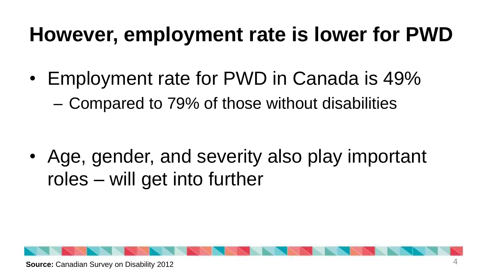#### **However, employment rate is lower for PWD**

• Employment rate for PWD in Canada is 49% – Compared to 79% of those without disabilities

• Age, gender, and severity also play important roles – will get into further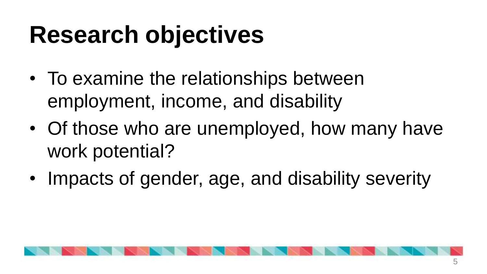### **Research objectives**

- To examine the relationships between employment, income, and disability
- Of those who are unemployed, how many have work potential?
- Impacts of gender, age, and disability severity

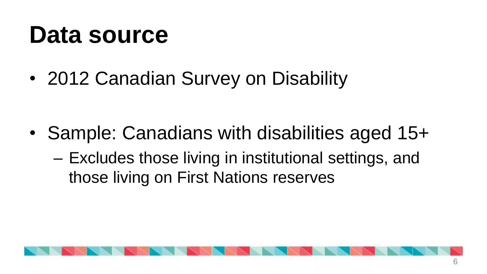### **Data source**

• 2012 Canadian Survey on Disability

- Sample: Canadians with disabilities aged 15+
	- Excludes those living in institutional settings, and those living on First Nations reserves

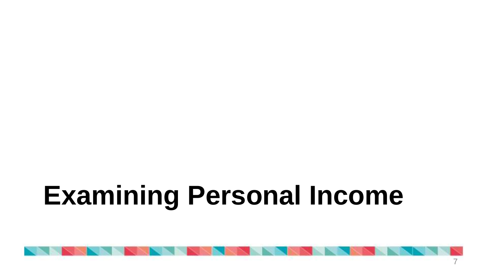# **Examining Personal Income**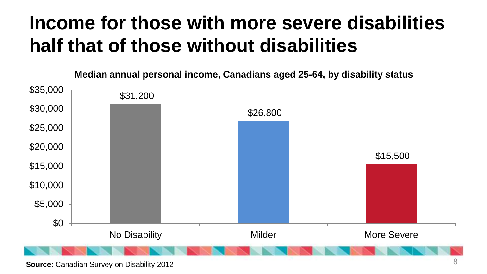#### **Income for those with more severe disabilities half that of those without disabilities**

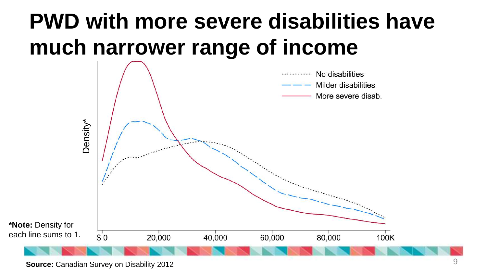#### **PWD with more severe disabilities have much narrower range of income**

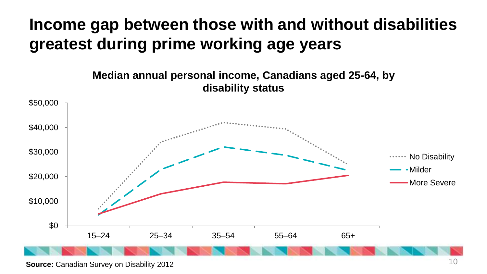#### **Income gap between those with and without disabilities greatest during prime working age years**

**Median annual personal income, Canadians aged 25-64, by disability status**

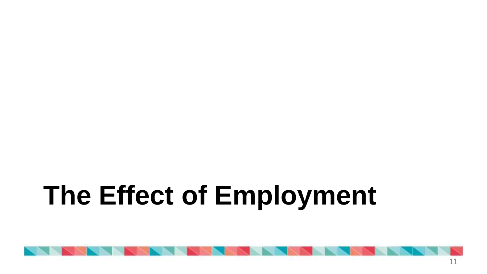# **The Effect of Employment**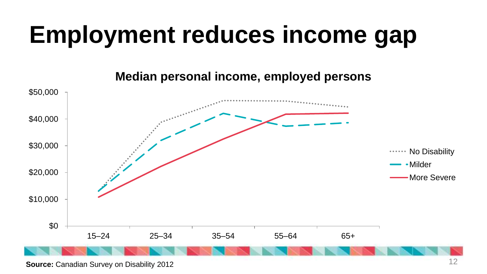### **Employment reduces income gap**

**Median personal income, employed persons**



**Source:** Canadian Survey on Disability 2012 12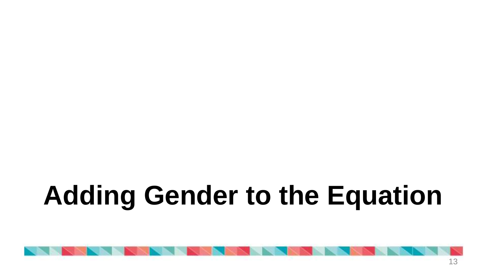# **Adding Gender to the Equation**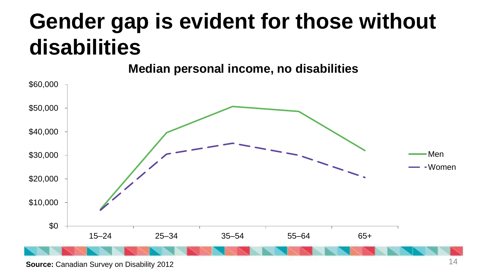#### **Gender gap is evident for those without disabilities**

**Median personal income, no disabilities**



**Source:** Canadian Survey on Disability 2012 14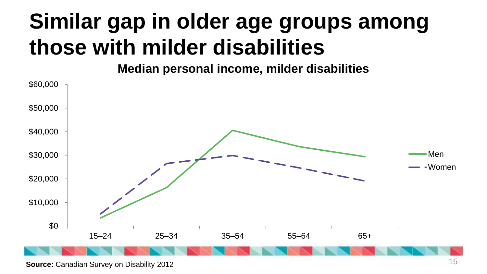### **Similar gap in older age groups among those with milder disabilities**

**Median personal income, milder disabilities**



**Source:** Canadian Survey on Disability 2012 15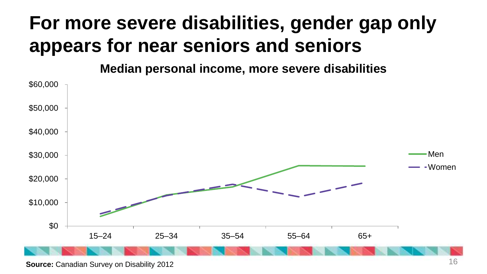#### **For more severe disabilities, gender gap only appears for near seniors and seniors**

**Median personal income, more severe disabilities**



**Source:** Canadian Survey on Disability 2012 16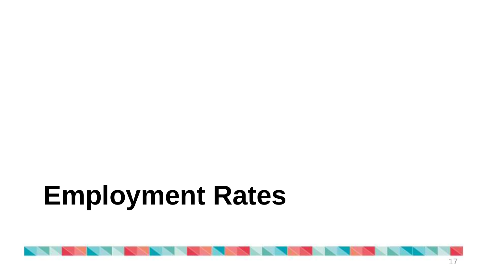# **Employment Rates**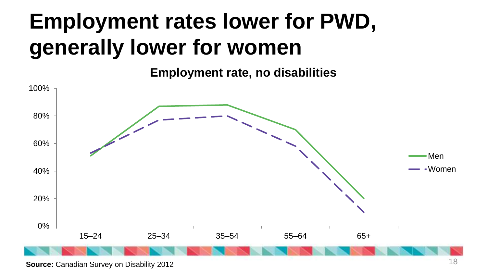### **Employment rates lower for PWD, generally lower for women**

**Employment rate, no disabilities**



**Source:** Canadian Survey on Disability 2012 18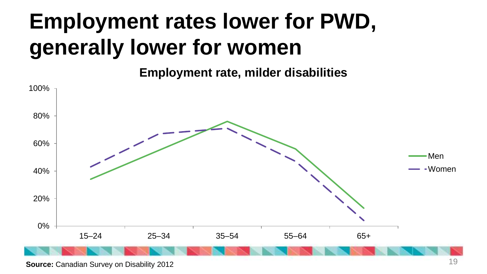### **Employment rates lower for PWD, generally lower for women**

**Employment rate, milder disabilities**



**Source:** Canadian Survey on Disability 2012 19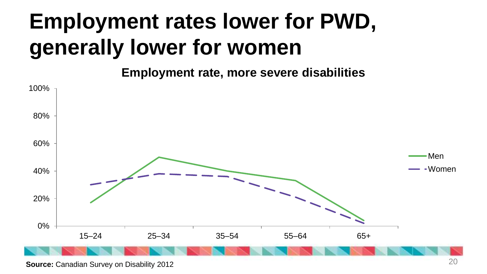### **Employment rates lower for PWD, generally lower for women**

**Employment rate, more severe disabilities**



**Source:** Canadian Survey on Disability 2012 20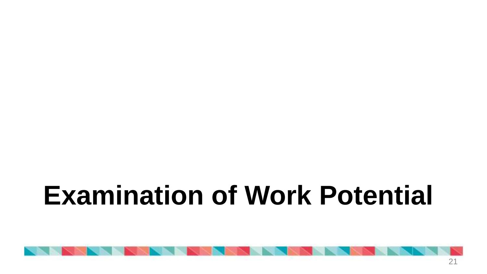# **Examination of Work Potential**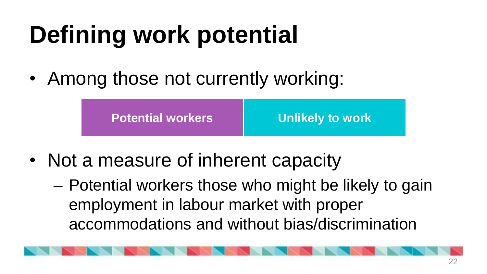# **Defining work potential**

• Among those not currently working:

| <b>Potential workers</b> | <b>Unlikely to work</b> |
|--------------------------|-------------------------|
|--------------------------|-------------------------|

- Not a measure of inherent capacity
	- Potential workers those who might be likely to gain employment in labour market with proper accommodations and without bias/discrimination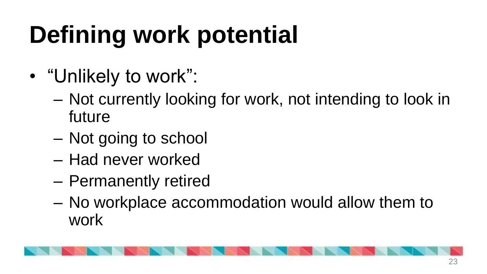# **Defining work potential**

- "Unlikely to work":
	- Not currently looking for work, not intending to look in future
	- Not going to school
	- Had never worked
	- Permanently retired
	- No workplace accommodation would allow them to work

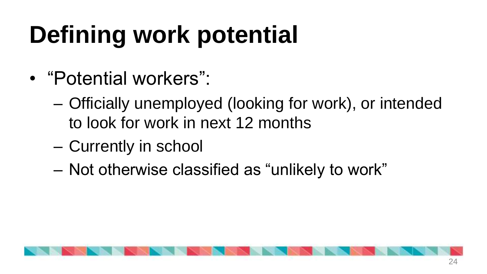# **Defining work potential**

- "Potential workers":
	- Officially unemployed (looking for work), or intended to look for work in next 12 months
	- Currently in school
	- Not otherwise classified as "unlikely to work"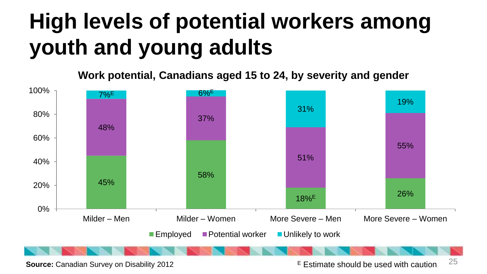### **High levels of potential workers among youth and young adults**

**Work potential, Canadians aged 15 to 24, by severity and gender**



**Source:** Canadian Survey on Disability 2012 **Extimate should be used with caution**  $25$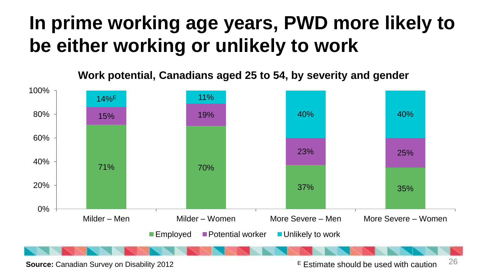#### **In prime working age years, PWD more likely to be either working or unlikely to work**

**Work potential, Canadians aged 25 to 54, by severity and gender**



**Source:** Canadian Survey on Disability 2012 E Estimate should be used with caution  $^{26}$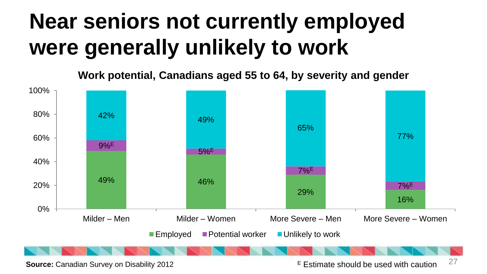#### **Near seniors not currently employed were generally unlikely to work**

**Work potential, Canadians aged 55 to 64, by severity and gender**



**Source:** Canadian Survey on Disability 2012 E Estimate should be used with caution  $27$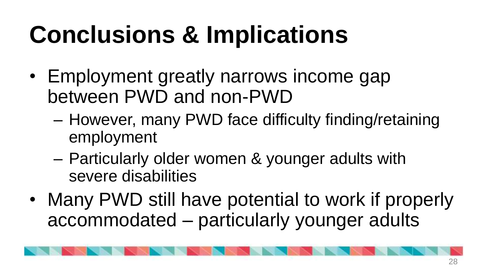# **Conclusions & Implications**

- Employment greatly narrows income gap between PWD and non-PWD
	- However, many PWD face difficulty finding/retaining employment
	- Particularly older women & younger adults with severe disabilities
- Many PWD still have potential to work if properly accommodated – particularly younger adults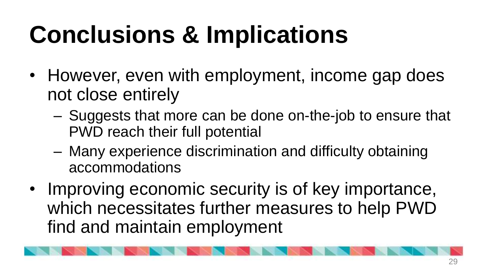# **Conclusions & Implications**

- However, even with employment, income gap does not close entirely
	- Suggests that more can be done on-the-job to ensure that PWD reach their full potential
	- Many experience discrimination and difficulty obtaining accommodations
- Improving economic security is of key importance, which necessitates further measures to help PWD find and maintain employment